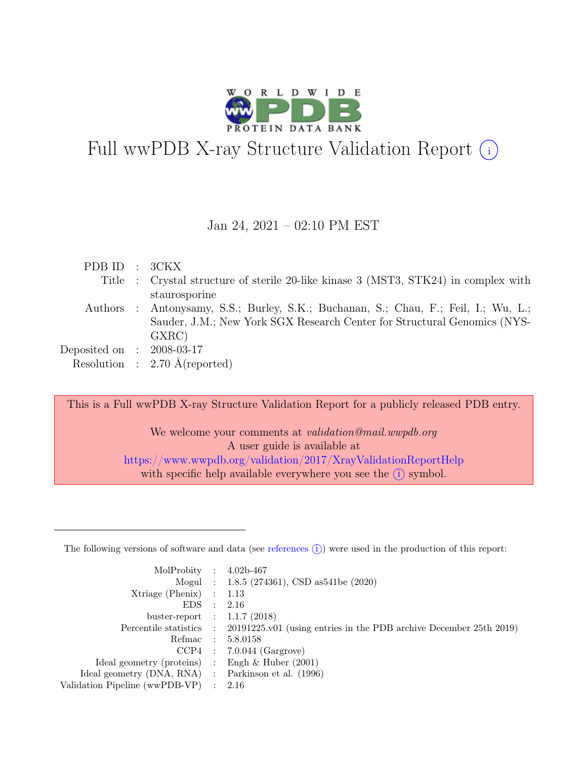

# Full wwPDB X-ray Structure Validation Report  $(i)$

#### Jan 24, 2021 – 02:10 PM EST

| PDBID : 3CKX                |                                                                                     |
|-----------------------------|-------------------------------------------------------------------------------------|
|                             | Title : Crystal structure of sterile 20-like kinase 3 (MST3, STK24) in complex with |
|                             | staurosporine                                                                       |
|                             | Authors : Antonysamy, S.S.; Burley, S.K.; Buchanan, S.; Chau, F.; Feil, I.; Wu, L.; |
|                             | Sauder, J.M.; New York SGX Research Center for Structural Genomics (NYS-            |
|                             | GXRC)                                                                               |
| Deposited on : $2008-03-17$ |                                                                                     |
|                             | Resolution : $2.70 \text{ Å}$ (reported)                                            |
|                             |                                                                                     |

This is a Full wwPDB X-ray Structure Validation Report for a publicly released PDB entry.

We welcome your comments at *validation@mail.wwpdb.org* A user guide is available at <https://www.wwpdb.org/validation/2017/XrayValidationReportHelp> with specific help available everywhere you see the  $(i)$  symbol.

The following versions of software and data (see [references](https://www.wwpdb.org/validation/2017/XrayValidationReportHelp#references)  $(i)$ ) were used in the production of this report:

| MolProbity : $4.02b-467$                            |                                                                                            |
|-----------------------------------------------------|--------------------------------------------------------------------------------------------|
|                                                     | Mogul : 1.8.5 (274361), CSD as541be (2020)                                                 |
| $Xtriangle (Phenix)$ : 1.13                         |                                                                                            |
| EDS : 2.16                                          |                                                                                            |
| buster-report : $1.1.7$ (2018)                      |                                                                                            |
|                                                     | Percentile statistics : 20191225.v01 (using entries in the PDB archive December 25th 2019) |
|                                                     | Refmac : 5.8.0158                                                                          |
|                                                     | $CCP4$ : 7.0.044 (Gargrove)                                                                |
| Ideal geometry (proteins) : Engh $\&$ Huber (2001)  |                                                                                            |
| Ideal geometry (DNA, RNA) : Parkinson et al. (1996) |                                                                                            |
| Validation Pipeline (wwPDB-VP) : $2.16$             |                                                                                            |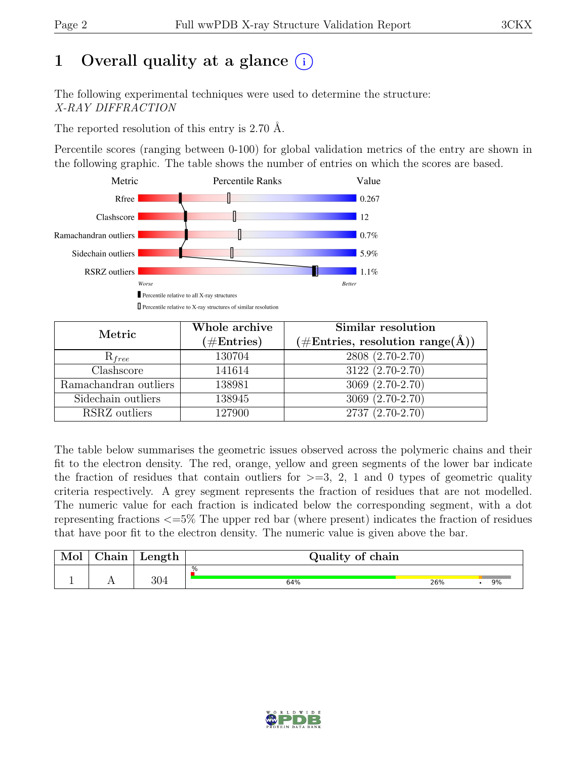# 1 Overall quality at a glance  $(i)$

The following experimental techniques were used to determine the structure: X-RAY DIFFRACTION

The reported resolution of this entry is 2.70 Å.

Percentile scores (ranging between 0-100) for global validation metrics of the entry are shown in the following graphic. The table shows the number of entries on which the scores are based.



| Metric                | Whole archive<br>$(\#Entries)$ | Similar resolution<br>$(\# \text{Entries}, \text{ resolution } \text{range}(\AA))$ |
|-----------------------|--------------------------------|------------------------------------------------------------------------------------|
| $R_{free}$            | 130704                         | 2808 (2.70-2.70)                                                                   |
| Clashscore            | 141614                         | 3122 (2.70-2.70)                                                                   |
| Ramachandran outliers | 138981                         | $3069 (2.70-2.70)$                                                                 |
| Sidechain outliers    | 138945                         | $3069(2.70-2.70)$                                                                  |
| RSRZ outliers         | 127900                         | 2737 (2.70-2.70)                                                                   |

The table below summarises the geometric issues observed across the polymeric chains and their fit to the electron density. The red, orange, yellow and green segments of the lower bar indicate the fraction of residues that contain outliers for  $\geq$ =3, 2, 1 and 0 types of geometric quality criteria respectively. A grey segment represents the fraction of residues that are not modelled. The numeric value for each fraction is indicated below the corresponding segment, with a dot representing fractions <=5% The upper red bar (where present) indicates the fraction of residues that have poor fit to the electron density. The numeric value is given above the bar.

| Mol | $\gamma$ hain | Length | Quality of chain |     |  |    |  |  |
|-----|---------------|--------|------------------|-----|--|----|--|--|
|     |               |        | %                |     |  |    |  |  |
|     | <b>A A</b>    | 304    | 64%              | 26% |  | 9% |  |  |

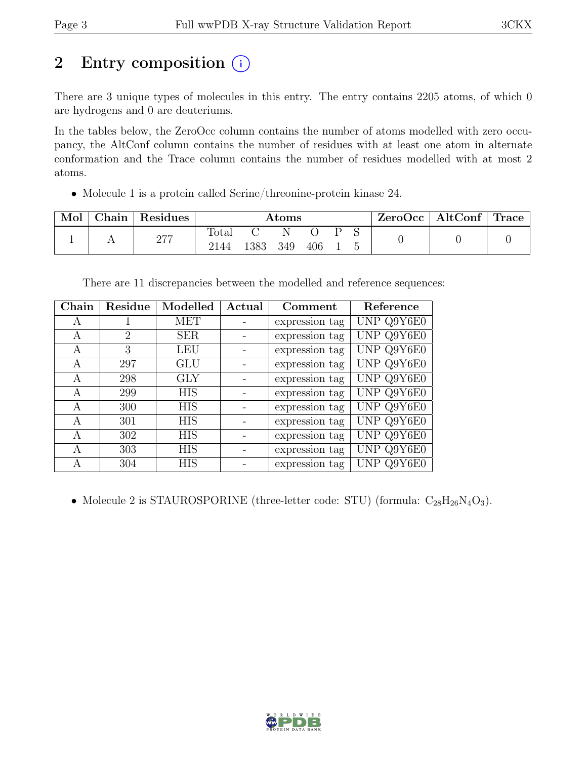# 2 Entry composition (i)

There are 3 unique types of molecules in this entry. The entry contains 2205 atoms, of which 0 are hydrogens and 0 are deuteriums.

In the tables below, the ZeroOcc column contains the number of atoms modelled with zero occupancy, the AltConf column contains the number of residues with at least one atom in alternate conformation and the Trace column contains the number of residues modelled with at most 2 atoms.

• Molecule 1 is a protein called Serine/threonine-protein kinase 24.

| Mol | Chain | Residues   | $\rm{Atoms}$  |      |     |     |  | ZeroOcc | $\vert$ AltConf $\vert$ Trace |  |  |
|-----|-------|------------|---------------|------|-----|-----|--|---------|-------------------------------|--|--|
|     |       | דיר<br>211 | Total<br>2144 | 1383 | 349 | 406 |  |         |                               |  |  |

There are 11 discrepancies between the modelled and reference sequences:

| Chain | Residue | Modelled   | Actual | Comment        | Reference  |
|-------|---------|------------|--------|----------------|------------|
| А     |         | MET        |        | expression tag | UNP Q9Y6E0 |
| A     | 2       | <b>SER</b> |        | expression tag | UNP Q9Y6E0 |
| А     | 3       | <b>LEU</b> |        | expression tag | UNP Q9Y6E0 |
| A     | 297     | <b>GLU</b> |        | expression tag | UNP Q9Y6E0 |
| A     | 298     | <b>GLY</b> |        | expression tag | UNP Q9Y6E0 |
| A     | 299     | <b>HIS</b> |        | expression tag | UNP Q9Y6E0 |
| A     | 300     | <b>HIS</b> |        | expression tag | UNP Q9Y6E0 |
| А     | 301     | <b>HIS</b> |        | expression tag | UNP Q9Y6E0 |
| A     | 302     | HIS        |        | expression tag | UNP Q9Y6E0 |
| А     | 303     | <b>HIS</b> |        | expression tag | UNP Q9Y6E0 |
| А     | 304     | <b>HIS</b> |        | expression tag | UNP Q9Y6E0 |

• Molecule 2 is STAUROSPORINE (three-letter code: STU) (formula:  $C_{28}H_{26}N_4O_3$ ).

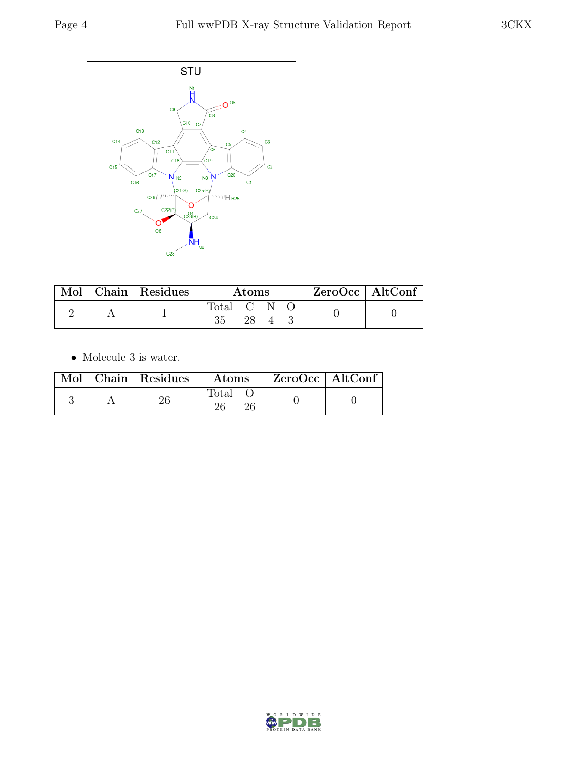

|  | Mol   Chain   Residues | Atoms     |  |  |  | $ZeroOcc \   \$ AltConf |
|--|------------------------|-----------|--|--|--|-------------------------|
|  |                        | Total C N |  |  |  |                         |
|  |                        |           |  |  |  |                         |

 $\bullet\,$  Molecule 3 is water.

|  | Mol   Chain   Residues | Atoms          | $ZeroOcc \mid AltConf$ |  |
|--|------------------------|----------------|------------------------|--|
|  |                        | $_{\rm Total}$ |                        |  |

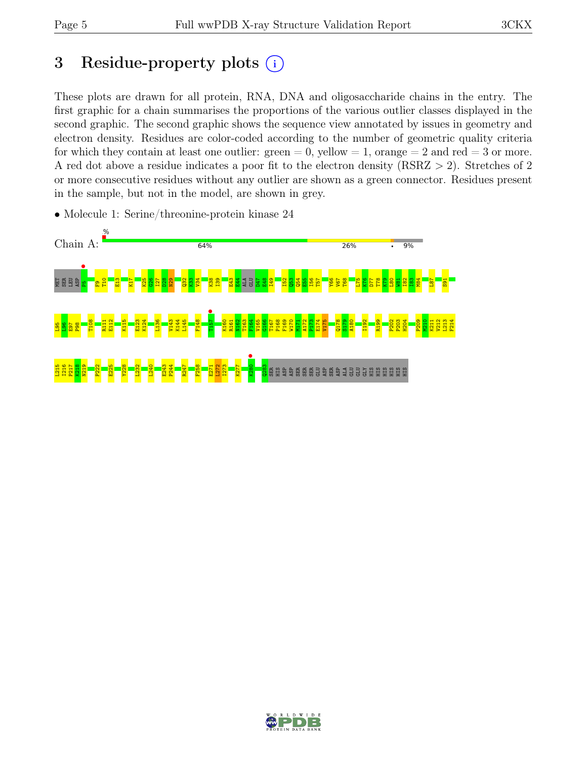# 3 Residue-property plots  $(i)$

These plots are drawn for all protein, RNA, DNA and oligosaccharide chains in the entry. The first graphic for a chain summarises the proportions of the various outlier classes displayed in the second graphic. The second graphic shows the sequence view annotated by issues in geometry and electron density. Residues are color-coded according to the number of geometric quality criteria for which they contain at least one outlier:  $green = 0$ , yellow  $= 1$ , orange  $= 2$  and red  $= 3$  or more. A red dot above a residue indicates a poor fit to the electron density (RSRZ > 2). Stretches of 2 or more consecutive residues without any outlier are shown as a green connector. Residues present in the sample, but not in the model, are shown in grey.



• Molecule 1: Serine/threonine-protein kinase 24

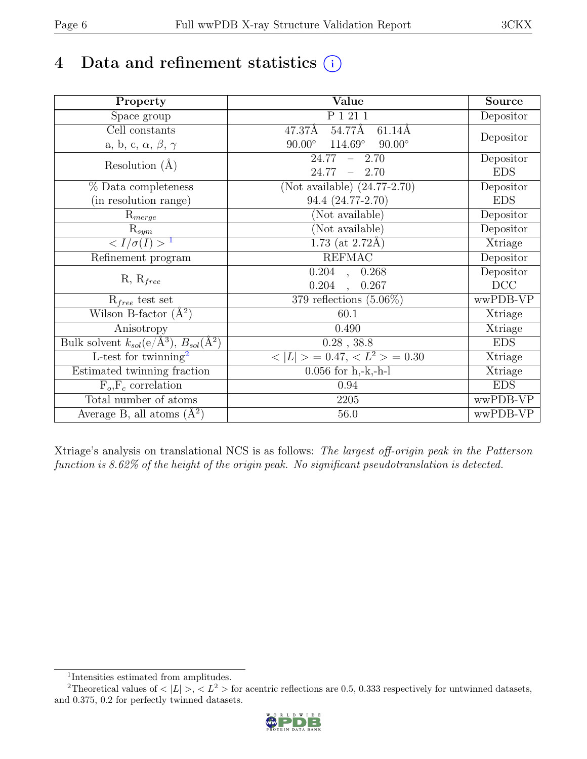# 4 Data and refinement statistics  $(i)$

| Property                                                             | Value                                              | Source         |
|----------------------------------------------------------------------|----------------------------------------------------|----------------|
| Space group                                                          | P 1 21 1                                           | Depositor      |
| $\overline{C}$ ell constants                                         | 47.37Å<br>54.77Å<br>$61.14\text{\AA}$              |                |
| a, b, c, $\alpha$ , $\beta$ , $\gamma$                               | $114.69^{\circ}$<br>$90.00^\circ$<br>$90.00^\circ$ | Depositor      |
| Resolution $(A)$                                                     | 24.77<br>$-2.70$                                   | Depositor      |
|                                                                      | 24.77<br>$-2.70$                                   | <b>EDS</b>     |
| % Data completeness                                                  | (Not available) $(24.77-2.70)$                     | Depositor      |
| (in resolution range)                                                | 94.4 (24.77-2.70)                                  | <b>EDS</b>     |
| $R_{merge}$                                                          | (Not available)                                    | Depositor      |
| $\mathrm{R}_{sym}$                                                   | (Not available)                                    | Depositor      |
| $\langle I/\sigma(I) \rangle$ <sup>1</sup>                           | 1.73 (at $2.72\text{\AA}$ )                        | Xtriage        |
| Refinement program                                                   | <b>REFMAC</b>                                      | Depositor      |
|                                                                      | $\overline{0.204}$ ,<br>0.268                      | Depositor      |
| $R, R_{free}$                                                        | 0.204<br>0.267<br>$\overline{\phantom{a}}$         | DCC            |
| $R_{free}$ test set                                                  | 379 reflections $(5.06\%)$                         | wwPDB-VP       |
| Wilson B-factor $(A^2)$                                              | 60.1                                               | Xtriage        |
| Anisotropy                                                           | 0.490                                              | Xtriage        |
| Bulk solvent $k_{sol}(e/\mathring{A}^3)$ , $B_{sol}(\mathring{A}^2)$ | $0.28$ , 38.8                                      | <b>EDS</b>     |
| L-test for twinning <sup>2</sup>                                     | $< L >$ = 0.47, $< L2$ > = 0.30                    | <b>Xtriage</b> |
| Estimated twinning fraction                                          | $0.056$ for h,-k,-h-l                              | Xtriage        |
| $F_o, F_c$ correlation                                               | 0.94                                               | <b>EDS</b>     |
| Total number of atoms                                                | 2205                                               | wwPDB-VP       |
| Average B, all atoms $(A^2)$                                         | 56.0                                               | wwPDB-VP       |

Xtriage's analysis on translational NCS is as follows: The largest off-origin peak in the Patterson function is 8.62% of the height of the origin peak. No significant pseudotranslation is detected.

<sup>&</sup>lt;sup>2</sup>Theoretical values of  $\langle |L| \rangle$ ,  $\langle L^2 \rangle$  for acentric reflections are 0.5, 0.333 respectively for untwinned datasets, and 0.375, 0.2 for perfectly twinned datasets.



<span id="page-5-1"></span><span id="page-5-0"></span><sup>1</sup> Intensities estimated from amplitudes.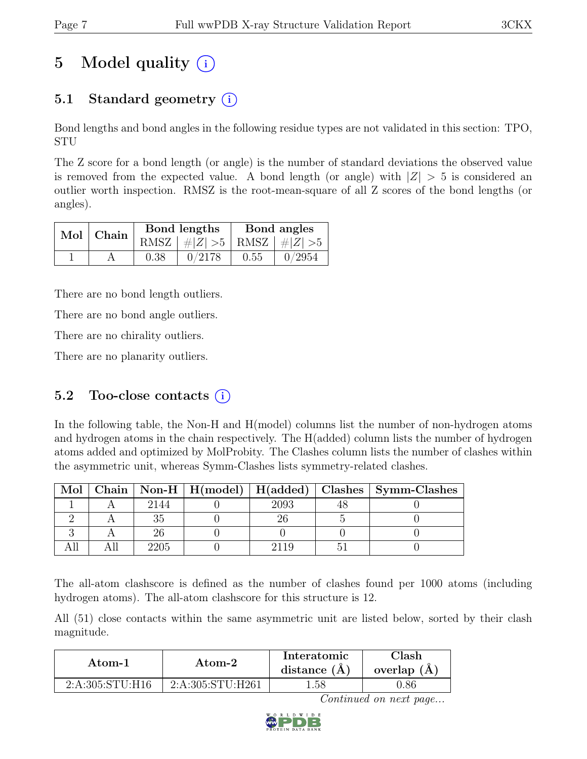# 5 Model quality  $(i)$

## 5.1 Standard geometry  $(i)$

Bond lengths and bond angles in the following residue types are not validated in this section: TPO, STU

The Z score for a bond length (or angle) is the number of standard deviations the observed value is removed from the expected value. A bond length (or angle) with  $|Z| > 5$  is considered an outlier worth inspection. RMSZ is the root-mean-square of all Z scores of the bond lengths (or angles).

|  | Mol   Chain |      | Bond lengths                    | Bond angles |        |  |
|--|-------------|------|---------------------------------|-------------|--------|--|
|  |             |      | RMSZ $ #Z  > 5$ RMSZ $ #Z  > 5$ |             |        |  |
|  |             | 0.38 | 0/2178                          | 0.55        | 0/2954 |  |

There are no bond length outliers.

There are no bond angle outliers.

There are no chirality outliers.

There are no planarity outliers.

### 5.2 Too-close contacts  $(i)$

In the following table, the Non-H and H(model) columns list the number of non-hydrogen atoms and hydrogen atoms in the chain respectively. The H(added) column lists the number of hydrogen atoms added and optimized by MolProbity. The Clashes column lists the number of clashes within the asymmetric unit, whereas Symm-Clashes lists symmetry-related clashes.

| Mol |      | Chain   Non-H   $H (model)$   $H (added)$ |      | Clashes   Symm-Clashes |
|-----|------|-------------------------------------------|------|------------------------|
|     | 2144 |                                           | 2093 |                        |
|     |      |                                           |      |                        |
|     |      |                                           |      |                        |
|     |      |                                           |      |                        |

The all-atom clashscore is defined as the number of clashes found per 1000 atoms (including hydrogen atoms). The all-atom clashscore for this structure is 12.

All (51) close contacts within the same asymmetric unit are listed below, sorted by their clash magnitude.

| Atom-1          | Atom-2           | Interatomic<br>distance $(A)$ | Clash<br>overlap $(A)$ |
|-----------------|------------------|-------------------------------|------------------------|
| 2:A:305:STU:H16 | 2:A:305:STU:H261 | l.58                          | 1.86                   |

Continued on next page...

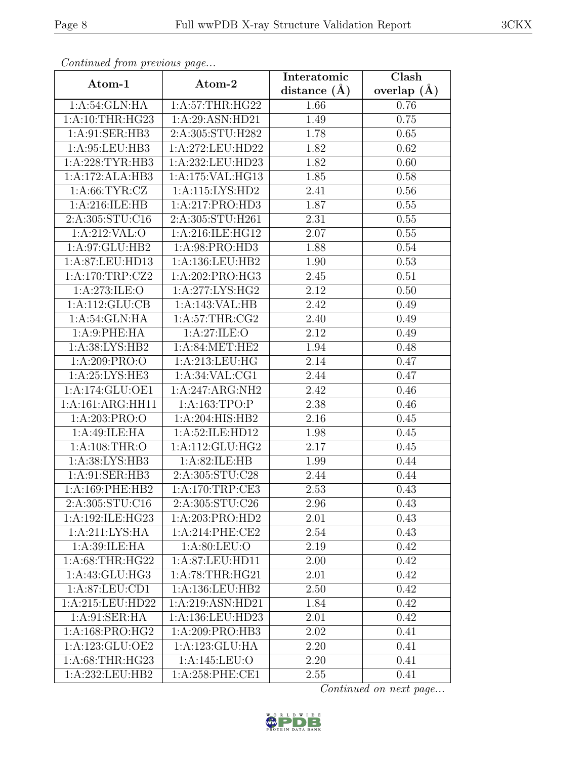| Continued from previous page |                                | Interatomic    | Clash         |
|------------------------------|--------------------------------|----------------|---------------|
| Atom-1                       | Atom-2                         | distance $(A)$ | overlap $(A)$ |
| 1:A:54:GLN:HA                | 1: A:57:THR:HG22               | 1.66           | 0.76          |
| 1: A:10:THR:HG23             | 1:A:29:ASN:HD21                | 1.49           | 0.75          |
| 1:A:91:SER:HB3               | 2:A:305:STU:H282               | 1.78           | 0.65          |
| 1:A:95:LEU:HB3               | 1:A:272:LEU:HD22               | 1.82           | 0.62          |
| 1:A:228:TYR:HB3              | 1:A:232:LEU:HD23               | 1.82           | 0.60          |
| 1:A:172:ALA:HB3              | 1:A:175:VAL:HG13               | 1.85           | 0.58          |
| 1: A:66:TYR:CZ               | $1:$ A:115:LYS:HD2             | 2.41           | 0.56          |
| 1:A:216:ILE:HB               | 1:A:217:PRO:HD3                | 1.87           | 0.55          |
| 2:A:305:STU:C16              | 2:A:305:STU:H261               | 2.31           | 0.55          |
| 1:A:212:VAL:O                | 1:A:216:ILE:HG12               | 2.07           | 0.55          |
| 1:A:97:GLU:HB2               | 1:A:98:PRO:HD3                 | 1.88           | 0.54          |
| 1:A:87:LEU:HD13              | 1:A:136:LEU:HB2                | 1.90           | 0.53          |
| 1:A:170:TRP:CZ2              | 1:A:202:PRO:HG3                | 2.45           | 0.51          |
| 1: A:273: ILE: O             | 1:A:277:LYS:HG2                | 2.12           | 0.50          |
| 1:A:112:GLU:CB               | 1:A:143:VAL:HB                 | 2.42           | 0.49          |
| 1:A:54:GLN:HA                | 1: A:57:THR:CG2                | 2.40           | 0.49          |
| 1:A:9:PHE:HA                 | 1:A:27:ILE:O                   | 2.12           | 0.49          |
| 1:A:38:LYS:HB2               | 1:A:84:MET:HE2                 | 1.94           | 0.48          |
| 1:A:209:PRO:O                | 1:A:213:LEU:HG                 | 2.14           | 0.47          |
| 1:A:25:LYS:HE3               | 1:A:34:VAL:CG1                 | 2.44           | 0.47          |
| 1:A:174:GLU:OE1              | 1:A:247:ARG:NH2                | 2.42           | 0.46          |
| 1:A:161:ARG:HH11             | 1:A:163:TPO:P                  | 2.38           | 0.46          |
| 1:A:203:PRO:O                | 1:A:204:HIS:HB2                | 2.16           | 0.45          |
| 1:A:49:ILE:HA                | 1:A:52:ILE:HD12                | 1.98           | 0.45          |
| 1: A:108:THR:O               | 1:A:112:GLU:HG2                | 2.17           | 0.45          |
| 1:A:38:LYS:HB3               | 1:A:82:ILE:HB                  | 1.99           | 0.44          |
| 1:A:91:SER:HB3               | 2:A:305:STU:C28                | 2.44           | 0.44          |
| 1: A:169: PHE:HB2            | 1:A:170:TRP:CE3                | 2.53           | 0.43          |
| 2:A:305:STU:C16              | $2: A:305:STU: \overline{C26}$ | 2.96           | 0.43          |
| 1:A:192:ILE:HG23             | 1:A:203:PRO:HD2                | 2.01           | 0.43          |
| 1:A:211:LYS:HA               | 1:A:214:PHE:CE2                | 2.54           | 0.43          |
| 1:A:39:ILE:HA                | 1: A:80: LEU:O                 | 2.19           | 0.42          |
| 1: A:68:THR:HG22             | 1:A:87:LEU:HD11                | 2.00           | 0.42          |
| 1:A:43:GLU:HG3               | 1: A:78:THR:HG21               | 2.01           | 0.42          |
| 1: A:87: LEU:CD1             | 1:A:136:LEU:HB2                | 2.50           | 0.42          |
| 1:A:215:LEU:HD22             | 1:A:219:ASN:HD21               | 1.84           | 0.42          |
| 1: A:91: SER: HA             | 1:A:136:LEU:HD23               | 2.01           | 0.42          |
| 1:A:168:PRO:HG2              | 1:A:209:PRO:HB3                | 2.02           | 0.41          |
| 1:A:123:GLU:OE2              | 1:A:123:GLU:HA                 | 2.20           | 0.41          |
| 1: A:68:THR:HG23             | 1:A:145:LEU:O                  | 2.20           | 0.41          |
| 1:A:232:LEU:HB2              | $1: A:258:$ PHE:CE1            | 2.55           | 0.41          |

Continued from previous page.

Continued on next page...

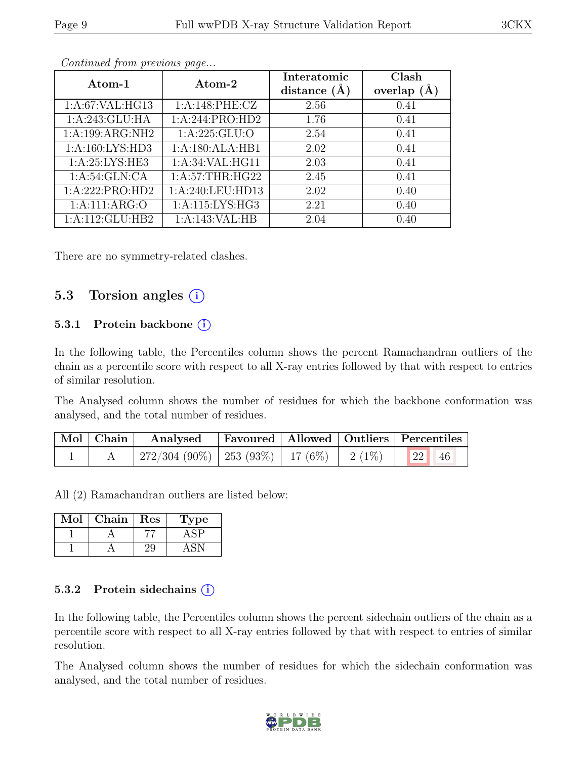| Atom-1              | Atom-2             | Interatomic<br>distance $(A)$ | Clash<br>overlap $(A)$ |
|---------------------|--------------------|-------------------------------|------------------------|
| 1:A:67:VAL:HG13     | 1:A:148:PHE:CZ     | 2.56                          | 0.41                   |
| 1:A:243:GLU:HA      | 1: A:244: PRO:HD2  | 1.76                          | 0.41                   |
| 1:A:199:ARG:NH2     | 1: A:225: GLU:O    | 2.54                          | 0.41                   |
| 1: A: 160: LYS: HD3 | 1:A:180:ALA:HB1    | 2.02                          | 0.41                   |
| 1: A:25: LYS: HE3   | 1: A:34: VAL: HG11 | 2.03                          | 0.41                   |
| 1: A:54: GLN:CA     | 1: A:57:THR:HG22   | 2.45                          | 0.41                   |
| 1:A:222:PRO:HD2     | 1:A:240:LEU:HD13   | 2.02                          | 0.40                   |
| 1: A:111: ARG:O     | 1: A:115: LYS: HG3 | 2.21                          | 0.40                   |
| $1:$ A:112:GLU:HB2  | 1:A:143:VAL:HB     | 2.04                          | 0.40                   |

Continued from previous page...

There are no symmetry-related clashes.

### 5.3 Torsion angles  $(i)$

#### 5.3.1 Protein backbone  $(i)$

In the following table, the Percentiles column shows the percent Ramachandran outliers of the chain as a percentile score with respect to all X-ray entries followed by that with respect to entries of similar resolution.

The Analysed column shows the number of residues for which the backbone conformation was analysed, and the total number of residues.

| $\vert$ Mol $\vert$ Chain $\vert$ | Analysed Favoured   Allowed   Outliers   Percentiles |  |  |
|-----------------------------------|------------------------------------------------------|--|--|
|                                   | 272/304 (90%)   253 (93%)   17 (6%)   2 (1%)   22 46 |  |  |

All (2) Ramachandran outliers are listed below:

| $\operatorname{Mol}$ | ${\rm Chain}$ | Res | Type |
|----------------------|---------------|-----|------|
|                      |               |     |      |
|                      |               |     |      |

#### 5.3.2 Protein sidechains  $(i)$

In the following table, the Percentiles column shows the percent sidechain outliers of the chain as a percentile score with respect to all X-ray entries followed by that with respect to entries of similar resolution.

The Analysed column shows the number of residues for which the sidechain conformation was analysed, and the total number of residues.

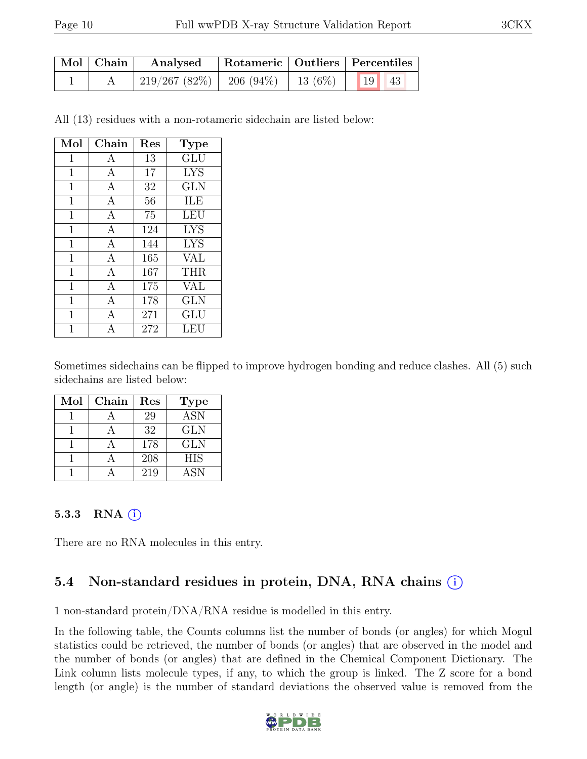| $\mid$ Mol $\mid$ Chain $\mid$ | Analysed                                      |  | Rotameric   Outliers   Percentiles |  |
|--------------------------------|-----------------------------------------------|--|------------------------------------|--|
|                                | 219/267 (82%)   206 (94%)   13 (6%)   19   43 |  |                                    |  |

All (13) residues with a non-rotameric sidechain are listed below:

| Mol         | Chain          | Res | <b>Type</b> |
|-------------|----------------|-----|-------------|
| 1           | А              | 13  | GLU         |
| $\mathbf 1$ | $\mathbf{A}$   | 17  | <b>LYS</b>  |
| $\mathbf 1$ | Α              | 32  | GLN         |
| 1           | $\mathbf{A}$   | 56  | ILE         |
| $\mathbf 1$ | $\mathbf{A}$   | 75  | <b>LEU</b>  |
| $\mathbf 1$ | $\mathbf{A}$   | 124 | <b>LYS</b>  |
| 1           | $\mathbf{A}$   | 144 | <b>LYS</b>  |
| 1           | $\mathbf{A}$   | 165 | VAL         |
| $\mathbf 1$ | А              | 167 | <b>THR</b>  |
| 1           | $\overline{A}$ | 175 | <b>VAL</b>  |
| 1           | А              | 178 | GLN         |
| 1           | А              | 271 | GLU         |
|             | А              | 272 | LEU         |

Sometimes sidechains can be flipped to improve hydrogen bonding and reduce clashes. All (5) such sidechains are listed below:

| Mol | Chain | Res | <b>Type</b> |
|-----|-------|-----|-------------|
|     |       | 29  | <b>ASN</b>  |
|     |       | 32  | <b>GLN</b>  |
|     |       | 178 | <b>GLN</b>  |
|     |       | 208 | <b>HIS</b>  |
|     |       | 219 | ASN         |

#### 5.3.3 RNA  $(i)$

There are no RNA molecules in this entry.

### 5.4 Non-standard residues in protein, DNA, RNA chains (i)

1 non-standard protein/DNA/RNA residue is modelled in this entry.

In the following table, the Counts columns list the number of bonds (or angles) for which Mogul statistics could be retrieved, the number of bonds (or angles) that are observed in the model and the number of bonds (or angles) that are defined in the Chemical Component Dictionary. The Link column lists molecule types, if any, to which the group is linked. The Z score for a bond length (or angle) is the number of standard deviations the observed value is removed from the

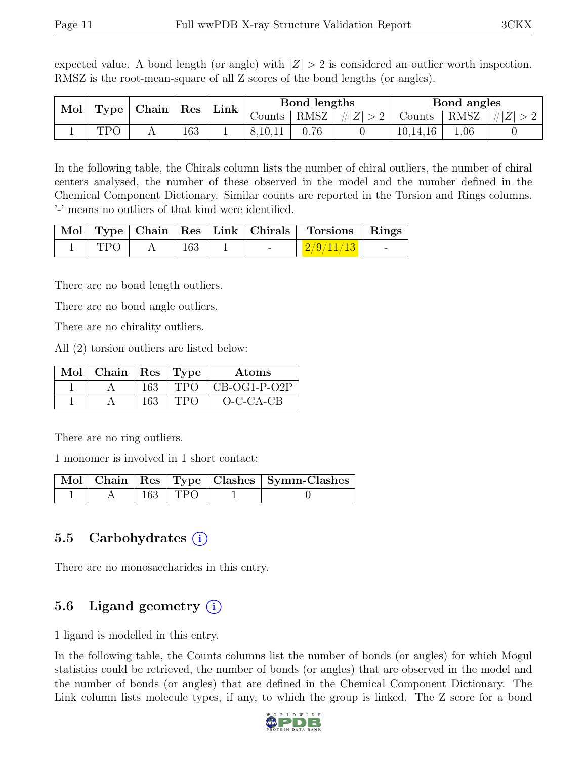expected value. A bond length (or angle) with  $|Z| > 2$  is considered an outlier worth inspection. RMSZ is the root-mean-square of all Z scores of the bond lengths (or angles).

| Mol | Type | Chain          | $\operatorname{Res}$ | Link     |         | Bond lengths |         |          | Bond angles |         |
|-----|------|----------------|----------------------|----------|---------|--------------|---------|----------|-------------|---------|
|     |      |                |                      |          | Counts  | RMSZ         | $\# Z $ | Counts.  | RMSZ        | $\# Z $ |
|     | TDC  | $\overline{1}$ | 163                  | <b>.</b> | 8,10,11 | .76          |         | 10,14,16 | $.06\,$     |         |

In the following table, the Chirals column lists the number of chiral outliers, the number of chiral centers analysed, the number of these observed in the model and the number defined in the Chemical Component Dictionary. Similar counts are reported in the Torsion and Rings columns. '-' means no outliers of that kind were identified.

|            |     |        | Mol   Type   Chain   Res   Link   Chirals   Torsions   Rings |  |
|------------|-----|--------|--------------------------------------------------------------|--|
| <b>TPO</b> | 163 | $\sim$ | $\mid 2/9/11/13 \mid \mid$                                   |  |

There are no bond length outliers.

There are no bond angle outliers.

There are no chirality outliers.

All (2) torsion outliers are listed below:

| Mol   Chain |     | $\vert$ Res $\vert$ Type | Atoms          |
|-------------|-----|--------------------------|----------------|
|             | 163 | <b>TPO</b>               | $CB-OG1-P-O2P$ |
|             | 163 | <b>TPC</b>               | $O-C-CA-CB$    |

There are no ring outliers.

1 monomer is involved in 1 short contact:

|  |             | Mol   Chain   Res   Type   Clashes   Symm-Clashes |
|--|-------------|---------------------------------------------------|
|  | $163$   TPO |                                                   |

### 5.5 Carbohydrates (i)

There are no monosaccharides in this entry.

### 5.6 Ligand geometry  $(i)$

1 ligand is modelled in this entry.

In the following table, the Counts columns list the number of bonds (or angles) for which Mogul statistics could be retrieved, the number of bonds (or angles) that are observed in the model and the number of bonds (or angles) that are defined in the Chemical Component Dictionary. The Link column lists molecule types, if any, to which the group is linked. The Z score for a bond

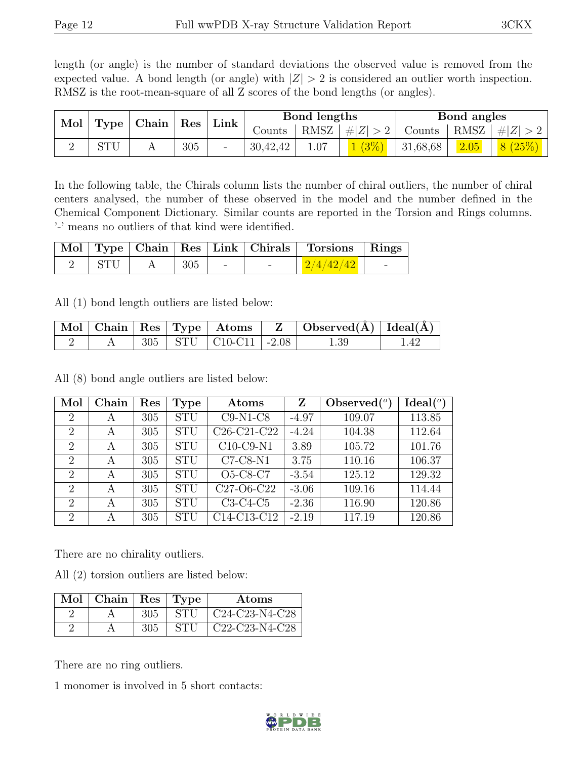length (or angle) is the number of standard deviations the observed value is removed from the expected value. A bond length (or angle) with  $|Z| > 2$  is considered an outlier worth inspection. RMSZ is the root-mean-square of all Z scores of the bond lengths (or angles).

| Mol<br>Type |     | Chain |      | $\operatorname{Res}$ |          |      | Bond lengths |          | Bond angles |         |  |
|-------------|-----|-------|------|----------------------|----------|------|--------------|----------|-------------|---------|--|
|             |     |       | Link |                      | Counts   | RMSZ | # Z          | - ounts  | RMSZ        | $\# Z $ |  |
|             | STU |       | 305  | -                    | 30,42,42 |      |              | 31,68,68 | 2.05        |         |  |

In the following table, the Chirals column lists the number of chiral outliers, the number of chiral centers analysed, the number of these observed in the model and the number defined in the Chemical Component Dictionary. Similar counts are reported in the Torsion and Rings columns. '-' means no outliers of that kind were identified.

|     |     |               | Mol   Type   Chain   Res   Link   Chirals   Torsions   Rings |  |
|-----|-----|---------------|--------------------------------------------------------------|--|
| STU | 305 | $\sim$ $\sim$ | 12/4/42/42                                                   |  |

All (1) bond length outliers are listed below:

|  |  |                               | Mol   Chain   Res   Type   Atoms   Z   Observed(A)   Ideal(A) |      |
|--|--|-------------------------------|---------------------------------------------------------------|------|
|  |  | $305$   STU   C10-C11   -2.08 | 1.39                                                          | 1.42 |

All (8) bond angle outliers are listed below:

| Mol                         | Chain | Res | Type       | Atoms                                             | Z       | Observed $\binom{o}{c}$ | Ideal <sup>(o)</sup> |
|-----------------------------|-------|-----|------------|---------------------------------------------------|---------|-------------------------|----------------------|
| $\overline{2}$              | А     | 305 | <b>STU</b> | $C9-N1-C8$                                        | $-4.97$ | 109.07                  | 113.85               |
| $\overline{2}$              | А     | 305 | <b>STU</b> | C <sub>26</sub> -C <sub>21</sub> -C <sub>22</sub> | $-4.24$ | 104.38                  | 112.64               |
| $\overline{2}$              | А     | 305 | <b>STU</b> | $C10-C9-N1$                                       | 3.89    | 105.72                  | 101.76               |
| $\overline{2}$              | А     | 305 | <b>STU</b> | $C7-C8-N1$                                        | 3.75    | 110.16                  | 106.37               |
| $\overline{2}$              | А     | 305 | <b>STU</b> | O5-C8-C7                                          | $-3.54$ | 125.12                  | 129.32               |
| $\overline{2}$              | А     | 305 | <b>STU</b> | C <sub>27</sub> -O <sub>6</sub> -C <sub>22</sub>  | $-3.06$ | 109.16                  | 114.44               |
| 2                           | А     | 305 | <b>STU</b> | $C3-C4-C5$                                        | $-2.36$ | 116.90                  | 120.86               |
| $\mathcal{D}_{\mathcal{L}}$ | А     | 305 | <b>STU</b> | C14-C13-C12                                       | $-2.19$ | 117.19                  | 120.86               |

There are no chirality outliers.

All (2) torsion outliers are listed below:

| $Mol$   Chain   Res   Type |     |            | Atoms                                                             |
|----------------------------|-----|------------|-------------------------------------------------------------------|
|                            | 305 | STU        | C24-C23-N4-C28                                                    |
|                            | 305 | <b>STI</b> | C <sub>22</sub> -C <sub>23</sub> -N <sub>4</sub> -C <sub>28</sub> |

There are no ring outliers.

1 monomer is involved in 5 short contacts:

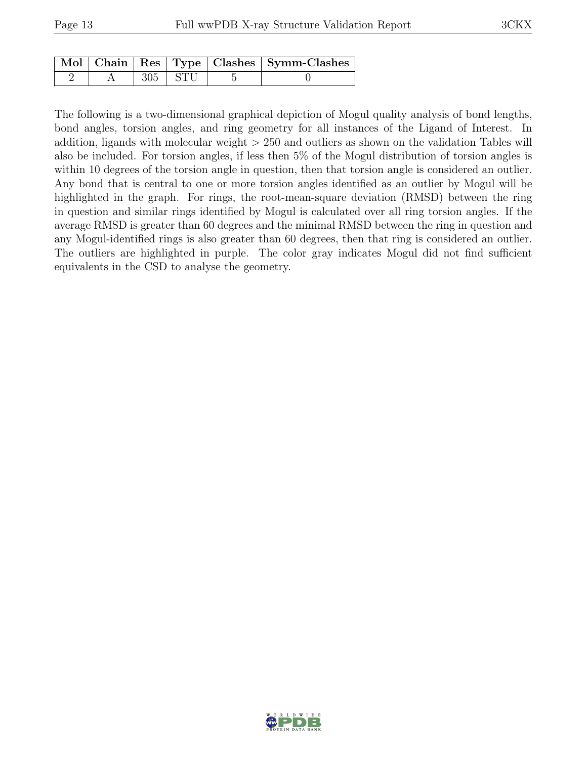|  |             | Mol   Chain   Res   Type   Clashes   Symm-Clashes |
|--|-------------|---------------------------------------------------|
|  | $305$   STU |                                                   |

The following is a two-dimensional graphical depiction of Mogul quality analysis of bond lengths, bond angles, torsion angles, and ring geometry for all instances of the Ligand of Interest. In addition, ligands with molecular weight > 250 and outliers as shown on the validation Tables will also be included. For torsion angles, if less then 5% of the Mogul distribution of torsion angles is within 10 degrees of the torsion angle in question, then that torsion angle is considered an outlier. Any bond that is central to one or more torsion angles identified as an outlier by Mogul will be highlighted in the graph. For rings, the root-mean-square deviation (RMSD) between the ring in question and similar rings identified by Mogul is calculated over all ring torsion angles. If the average RMSD is greater than 60 degrees and the minimal RMSD between the ring in question and any Mogul-identified rings is also greater than 60 degrees, then that ring is considered an outlier. The outliers are highlighted in purple. The color gray indicates Mogul did not find sufficient equivalents in the CSD to analyse the geometry.

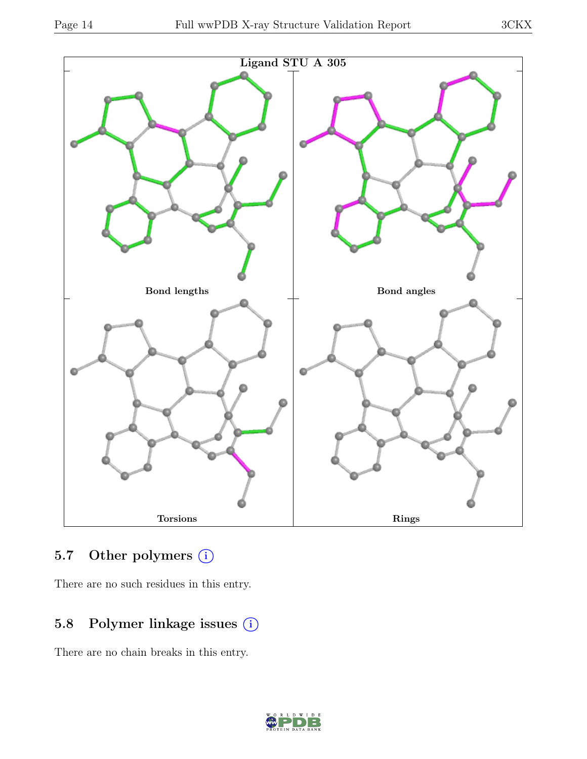

## 5.7 Other polymers (i)

There are no such residues in this entry.

# 5.8 Polymer linkage issues (i)

There are no chain breaks in this entry.

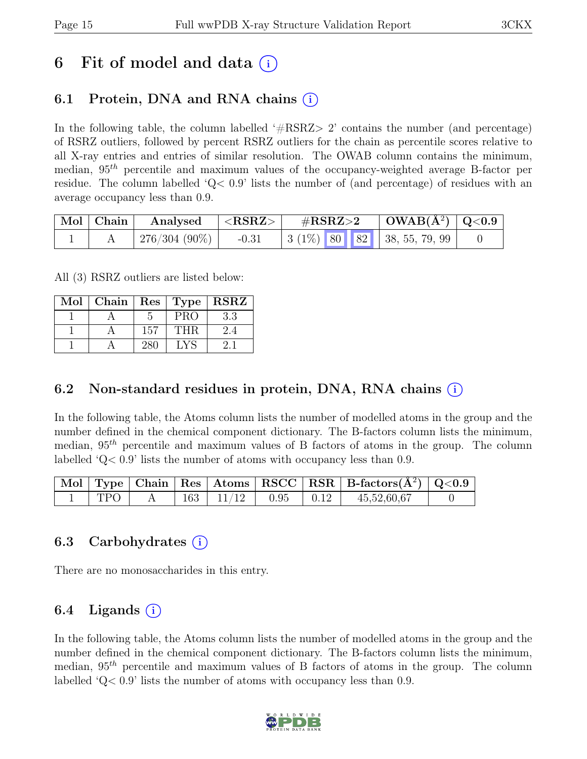# 6 Fit of model and data  $(i)$

# 6.1 Protein, DNA and RNA chains  $(i)$

In the following table, the column labelled  $#RSRZ>2$  contains the number (and percentage) of RSRZ outliers, followed by percent RSRZ outliers for the chain as percentile scores relative to all X-ray entries and entries of similar resolution. The OWAB column contains the minimum, median,  $95<sup>th</sup>$  percentile and maximum values of the occupancy-weighted average B-factor per residue. The column labelled ' $Q<.9$ ' lists the number of (and percentage) of residues with an average occupancy less than 0.9.

| Mol   Chain | Analysed                     | ${ <\hspace{-1.5pt} \mathrm{RSRZ}\hspace{-1.5pt}>}$ | $\#\text{RSRZ}\text{>2}$ |  |  | $\mid$ OWAB(Å <sup>2</sup> ) $\mid$ Q<0.9 $\mid$   |  |
|-------------|------------------------------|-----------------------------------------------------|--------------------------|--|--|----------------------------------------------------|--|
|             | $^{\circ}$ 276/304 (90%) $ $ | $-0.31$                                             |                          |  |  | $\vert 3 \vert (1\%)$ 80 82 $\vert 38, 55, 79, 99$ |  |

All (3) RSRZ outliers are listed below:

| Mol |     |            | Chain   $\text{Res}$   $\text{Type}$   $\text{RSRZ}$ |
|-----|-----|------------|------------------------------------------------------|
|     |     | <b>PRO</b> | 3.3                                                  |
|     | 157 | THR.       | 2.4                                                  |
|     |     |            |                                                      |

### 6.2 Non-standard residues in protein, DNA, RNA chains (i)

In the following table, the Atoms column lists the number of modelled atoms in the group and the number defined in the chemical component dictionary. The B-factors column lists the minimum, median,  $95<sup>th</sup>$  percentile and maximum values of B factors of atoms in the group. The column labelled 'Q< 0.9' lists the number of atoms with occupancy less than 0.9.

|      |  |                                   |  | $\vert$ Mol $\vert$ Type $\vert$ Chain $\vert$ Res $\vert$ Atoms $\vert$ RSCC $\vert$ RSR $\vert$ B-factors( $A^2$ ) $\vert$ Q<0.9 |  |
|------|--|-----------------------------------|--|------------------------------------------------------------------------------------------------------------------------------------|--|
| TPO. |  | $163$   $11/12$   $0.95$   $0.12$ |  | 45,52,60,67                                                                                                                        |  |

### 6.3 Carbohydrates (i)

There are no monosaccharides in this entry.

### $6.4$  Ligands  $(i)$

In the following table, the Atoms column lists the number of modelled atoms in the group and the number defined in the chemical component dictionary. The B-factors column lists the minimum, median,  $95<sup>th</sup>$  percentile and maximum values of B factors of atoms in the group. The column labelled 'Q< 0.9' lists the number of atoms with occupancy less than 0.9.